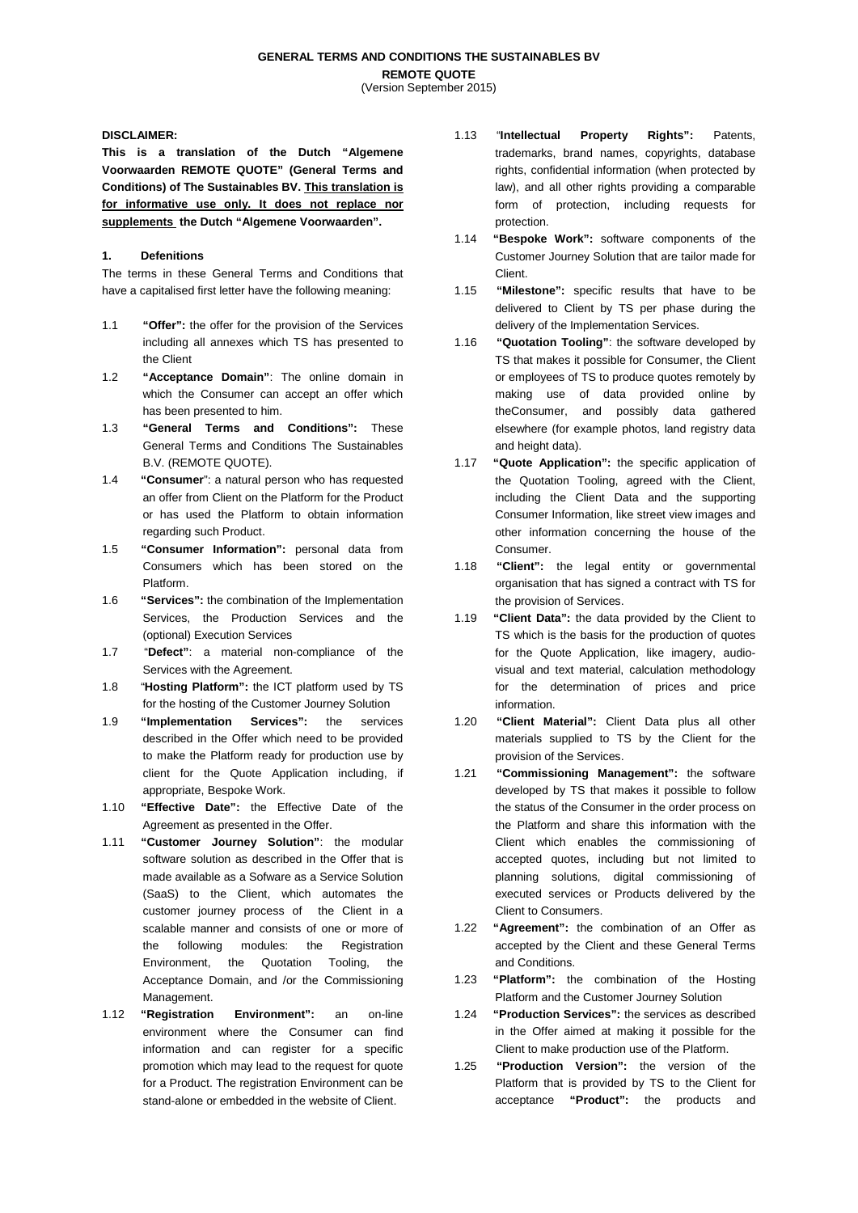**DISCLAIMER:** 

**This is a translation of the Dutch "Algemene Voorwaarden REMOTE QUOTE" (General Terms and Conditions) of The Sustainables BV. This translation is for informative use only. It does not replace nor supplements the Dutch "Algemene Voorwaarden".**

# **1. Defenitions**

The terms in these General Terms and Conditions that have a capitalised first letter have the following meaning:

- 1.1 **"Offer":** the offer for the provision of the Services including all annexes which TS has presented to the Client
- 1.2 **"Acceptance Domain"**: The online domain in which the Consumer can accept an offer which has been presented to him.
- 1.3 **"General Terms and Conditions":** These General Terms and Conditions The Sustainables B.V. (REMOTE QUOTE).
- 1.4 **"Consumer**": a natural person who has requested an offer from Client on the Platform for the Product or has used the Platform to obtain information regarding such Product.
- 1.5 **"Consumer Information":** personal data from Consumers which has been stored on the Platform.
- 1.6 **"Services":** the combination of the Implementation Services, the Production Services and the (optional) Execution Services
- 1.7 "**Defect"**: a material non-compliance of the Services with the Agreement.
- 1.8 "**Hosting Platform":** the ICT platform used by TS for the hosting of the Customer Journey Solution
- 1.9 **"Implementation Services":** the services described in the Offer which need to be provided to make the Platform ready for production use by client for the Quote Application including, if appropriate, Bespoke Work.
- 1.10 **"Effective Date":** the Effective Date of the Agreement as presented in the Offer.
- 1.11 **"Customer Journey Solution"**: the modular software solution as described in the Offer that is made available as a Sofware as a Service Solution (SaaS) to the Client, which automates the customer journey process of the Client in a scalable manner and consists of one or more of the following modules: the Registration Environment, the Quotation Tooling, the Acceptance Domain, and /or the Commissioning Management.
- 1.12 **"Registration Environment":** an on-line environment where the Consumer can find information and can register for a specific promotion which may lead to the request for quote for a Product. The registration Environment can be stand-alone or embedded in the website of Client.
- 1.13 "**Intellectual Property Rights":** Patents, trademarks, brand names, copyrights, database rights, confidential information (when protected by law), and all other rights providing a comparable form of protection, including requests for protection.
- 1.14 **"Bespoke Work":** software components of the Customer Journey Solution that are tailor made for Client.
- 1.15 **"Milestone":** specific results that have to be delivered to Client by TS per phase during the delivery of the Implementation Services.
- 1.16 **"Quotation Tooling"**: the software developed by TS that makes it possible for Consumer, the Client or employees of TS to produce quotes remotely by making use of data provided online by theConsumer, and possibly data gathered elsewhere (for example photos, land registry data and height data).
- 1.17 **"Quote Application":** the specific application of the Quotation Tooling, agreed with the Client, including the Client Data and the supporting Consumer Information, like street view images and other information concerning the house of the Consumer.
- 1.18 **"Client":** the legal entity or governmental organisation that has signed a contract with TS for the provision of Services.
- 1.19 **"Client Data":** the data provided by the Client to TS which is the basis for the production of quotes for the Quote Application, like imagery, audiovisual and text material, calculation methodology for the determination of prices and price information.
- 1.20 **"Client Material":** Client Data plus all other materials supplied to TS by the Client for the provision of the Services.
- 1.21 **"Commissioning Management":** the software developed by TS that makes it possible to follow the status of the Consumer in the order process on the Platform and share this information with the Client which enables the commissioning of accepted quotes, including but not limited to planning solutions, digital commissioning of executed services or Products delivered by the Client to Consumers.
- 1.22 **"Agreement":** the combination of an Offer as accepted by the Client and these General Terms and Conditions.
- 1.23 **"Platform":** the combination of the Hosting Platform and the Customer Journey Solution
- 1.24 **"Production Services":** the services as described in the Offer aimed at making it possible for the Client to make production use of the Platform.
- 1.25 **"Production Version":** the version of the Platform that is provided by TS to the Client for acceptance **"Product":** the products and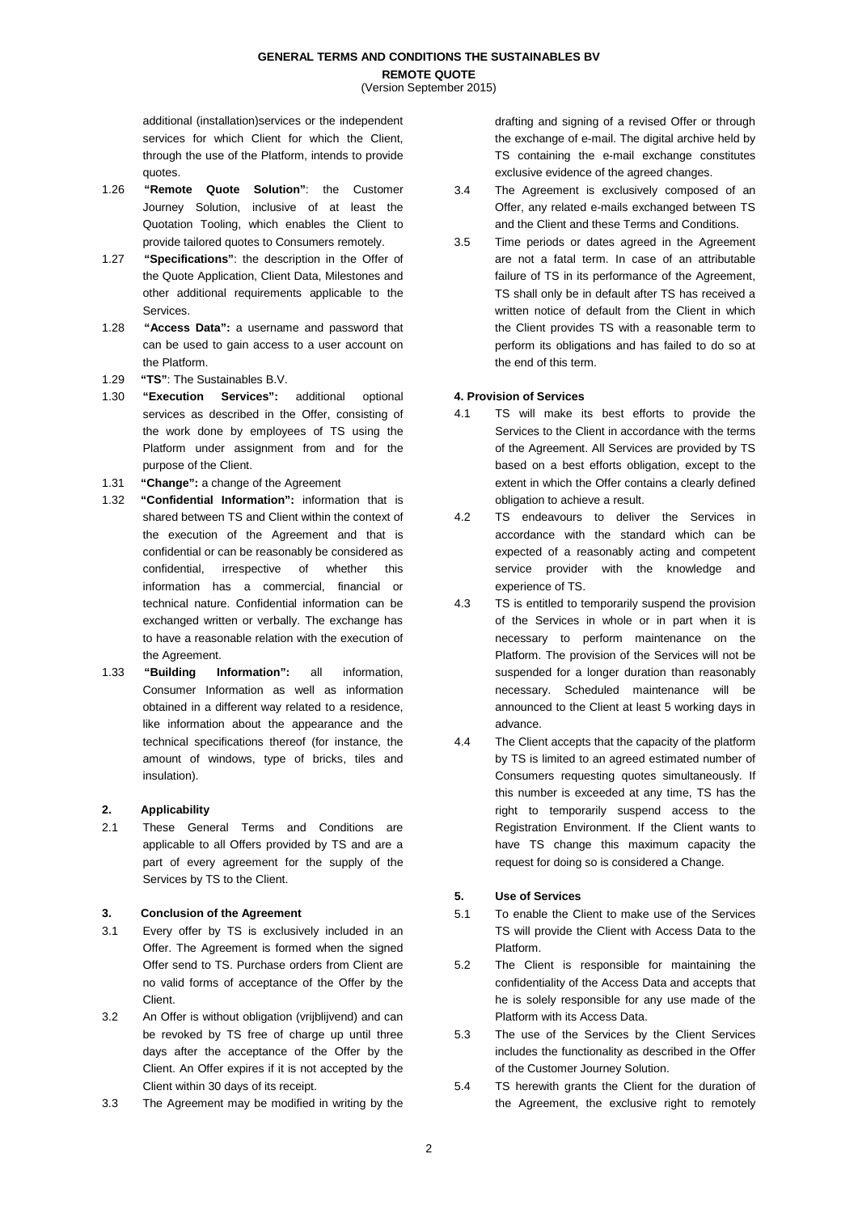additional (installation)services or the independent services for which Client for which the Client, through the use of the Platform, intends to provide quotes.

- 1.26 **"Remote Quote Solution"**: the Customer Journey Solution, inclusive of at least the Quotation Tooling, which enables the Client to provide tailored quotes to Consumers remotely.
- 1.27 **"Specifications"**: the description in the Offer of the Quote Application, Client Data, Milestones and other additional requirements applicable to the Services.
- 1.28 **"Access Data":** a username and password that can be used to gain access to a user account on the Platform.
- 1.29 **"TS"**: The Sustainables B.V.
- 1.30 **"Execution Services":** additional optional services as described in the Offer, consisting of the work done by employees of TS using the Platform under assignment from and for the purpose of the Client.
- 1.31 **"Change":** a change of the Agreement
- 1.32 **"Confidential Information":** information that is shared between TS and Client within the context of the execution of the Agreement and that is confidential or can be reasonably be considered as confidential, irrespective of whether this information has a commercial, financial or technical nature. Confidential information can be exchanged written or verbally. The exchange has to have a reasonable relation with the execution of the Agreement.
- 1.33 **"Building Information":** all information, Consumer Information as well as information obtained in a different way related to a residence, like information about the appearance and the technical specifications thereof (for instance, the amount of windows, type of bricks, tiles and insulation).

# **2. Applicability**

2.1 These General Terms and Conditions are applicable to all Offers provided by TS and are a part of every agreement for the supply of the Services by TS to the Client.

### **3. Conclusion of the Agreement**

- 3.1 Every offer by TS is exclusively included in an Offer. The Agreement is formed when the signed Offer send to TS. Purchase orders from Client are no valid forms of acceptance of the Offer by the Client.
- 3.2 An Offer is without obligation (vrijblijvend) and can be revoked by TS free of charge up until three days after the acceptance of the Offer by the Client. An Offer expires if it is not accepted by the Client within 30 days of its receipt.
- 3.3 The Agreement may be modified in writing by the

drafting and signing of a revised Offer or through the exchange of e-mail. The digital archive held by TS containing the e-mail exchange constitutes exclusive evidence of the agreed changes.

- 3.4 The Agreement is exclusively composed of an Offer, any related e-mails exchanged between TS and the Client and these Terms and Conditions.
- 3.5 Time periods or dates agreed in the Agreement are not a fatal term. In case of an attributable failure of TS in its performance of the Agreement, TS shall only be in default after TS has received a written notice of default from the Client in which the Client provides TS with a reasonable term to perform its obligations and has failed to do so at the end of this term.

### **4. Provision of Services**

- 4.1 TS will make its best efforts to provide the Services to the Client in accordance with the terms of the Agreement. All Services are provided by TS based on a best efforts obligation, except to the extent in which the Offer contains a clearly defined obligation to achieve a result.
- 4.2 TS endeavours to deliver the Services in accordance with the standard which can be expected of a reasonably acting and competent service provider with the knowledge and experience of TS.
- 4.3 TS is entitled to temporarily suspend the provision of the Services in whole or in part when it is necessary to perform maintenance on the Platform. The provision of the Services will not be suspended for a longer duration than reasonably necessary. Scheduled maintenance will be announced to the Client at least 5 working days in advance.
- 4.4 The Client accepts that the capacity of the platform by TS is limited to an agreed estimated number of Consumers requesting quotes simultaneously. If this number is exceeded at any time, TS has the right to temporarily suspend access to the Registration Environment. If the Client wants to have TS change this maximum capacity the request for doing so is considered a Change.

# **5. Use of Services**

- 5.1 To enable the Client to make use of the Services TS will provide the Client with Access Data to the Platform.
- 5.2 The Client is responsible for maintaining the confidentiality of the Access Data and accepts that he is solely responsible for any use made of the Platform with its Access Data.
- 5.3 The use of the Services by the Client Services includes the functionality as described in the Offer of the Customer Journey Solution.
- 5.4 TS herewith grants the Client for the duration of the Agreement, the exclusive right to remotely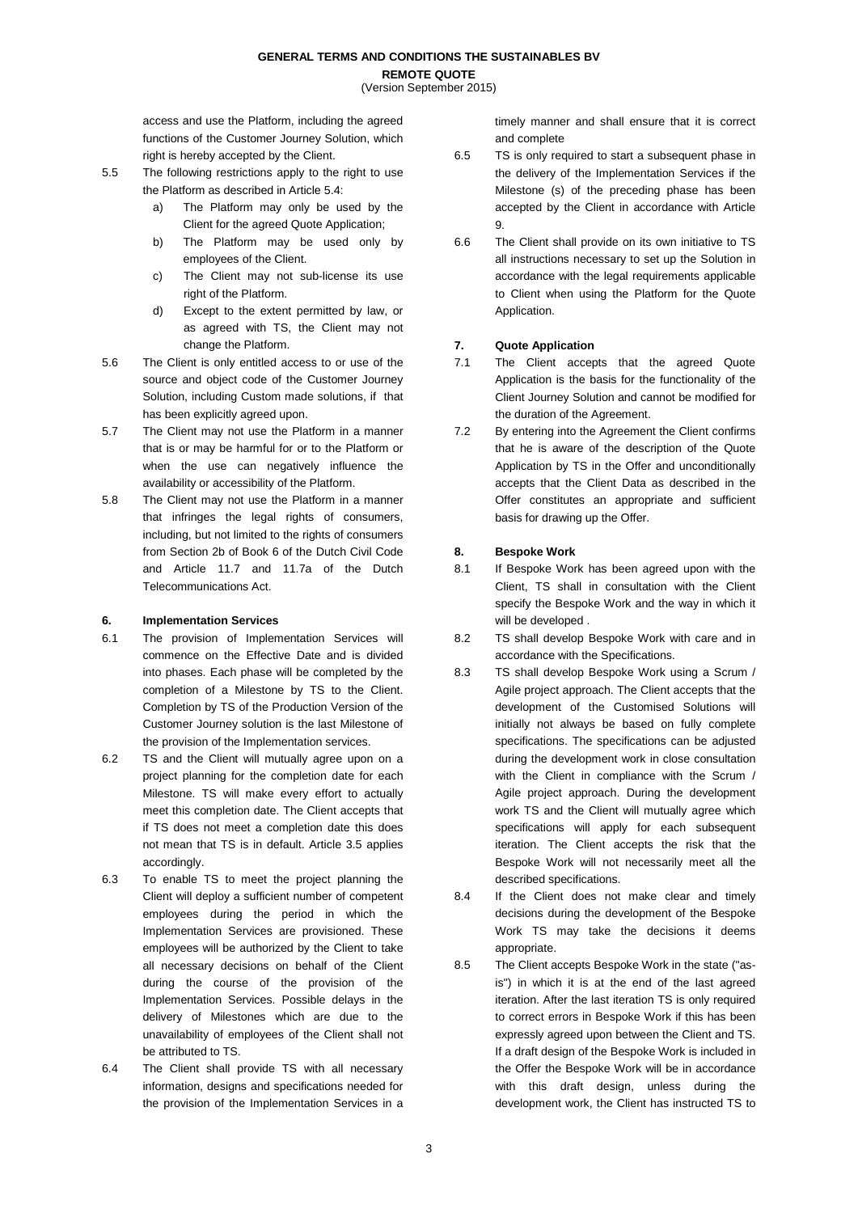access and use the Platform, including the agreed functions of the Customer Journey Solution, which right is hereby accepted by the Client.

- 5.5 The following restrictions apply to the right to use the Platform as described in Article 5.4:
	- a) The Platform may only be used by the Client for the agreed Quote Application;
	- b) The Platform may be used only by employees of the Client.
	- c) The Client may not sub-license its use right of the Platform.
	- d) Except to the extent permitted by law, or as agreed with TS, the Client may not change the Platform.
- 5.6 The Client is only entitled access to or use of the source and object code of the Customer Journey Solution, including Custom made solutions, if that has been explicitly agreed upon.
- 5.7 The Client may not use the Platform in a manner that is or may be harmful for or to the Platform or when the use can negatively influence the availability or accessibility of the Platform.
- 5.8 The Client may not use the Platform in a manner that infringes the legal rights of consumers, including, but not limited to the rights of consumers from Section 2b of Book 6 of the Dutch Civil Code and Article 11.7 and 11.7a of the Dutch Telecommunications Act.

#### **6. Implementation Services**

- 6.1 The provision of Implementation Services will commence on the Effective Date and is divided into phases. Each phase will be completed by the completion of a Milestone by TS to the Client. Completion by TS of the Production Version of the Customer Journey solution is the last Milestone of the provision of the Implementation services.
- 6.2 TS and the Client will mutually agree upon on a project planning for the completion date for each Milestone. TS will make every effort to actually meet this completion date. The Client accepts that if TS does not meet a completion date this does not mean that TS is in default. Article 3.5 applies accordingly.
- 6.3 To enable TS to meet the project planning the Client will deploy a sufficient number of competent employees during the period in which the Implementation Services are provisioned. These employees will be authorized by the Client to take all necessary decisions on behalf of the Client during the course of the provision of the Implementation Services. Possible delays in the delivery of Milestones which are due to the unavailability of employees of the Client shall not be attributed to TS.
- 6.4 The Client shall provide TS with all necessary information, designs and specifications needed for the provision of the Implementation Services in a

timely manner and shall ensure that it is correct and complete

- 6.5 TS is only required to start a subsequent phase in the delivery of the Implementation Services if the Milestone (s) of the preceding phase has been accepted by the Client in accordance with Article 9.
- 6.6 The Client shall provide on its own initiative to TS all instructions necessary to set up the Solution in accordance with the legal requirements applicable to Client when using the Platform for the Quote Application.

#### **7. Quote Application**

- 7.1 The Client accepts that the agreed Quote Application is the basis for the functionality of the Client Journey Solution and cannot be modified for the duration of the Agreement.
- 7.2 By entering into the Agreement the Client confirms that he is aware of the description of the Quote Application by TS in the Offer and unconditionally accepts that the Client Data as described in the Offer constitutes an appropriate and sufficient basis for drawing up the Offer.

#### **8. Bespoke Work**

- 8.1 If Bespoke Work has been agreed upon with the Client, TS shall in consultation with the Client specify the Bespoke Work and the way in which it will be developed .
- 8.2 TS shall develop Bespoke Work with care and in accordance with the Specifications.
- 8.3 TS shall develop Bespoke Work using a Scrum / Agile project approach. The Client accepts that the development of the Customised Solutions will initially not always be based on fully complete specifications. The specifications can be adjusted during the development work in close consultation with the Client in compliance with the Scrum / Agile project approach. During the development work TS and the Client will mutually agree which specifications will apply for each subsequent iteration. The Client accepts the risk that the Bespoke Work will not necessarily meet all the described specifications.
- 8.4 If the Client does not make clear and timely decisions during the development of the Bespoke Work TS may take the decisions it deems appropriate.
- 8.5 The Client accepts Bespoke Work in the state ("asis") in which it is at the end of the last agreed iteration. After the last iteration TS is only required to correct errors in Bespoke Work if this has been expressly agreed upon between the Client and TS. If a draft design of the Bespoke Work is included in the Offer the Bespoke Work will be in accordance with this draft design, unless during the development work, the Client has instructed TS to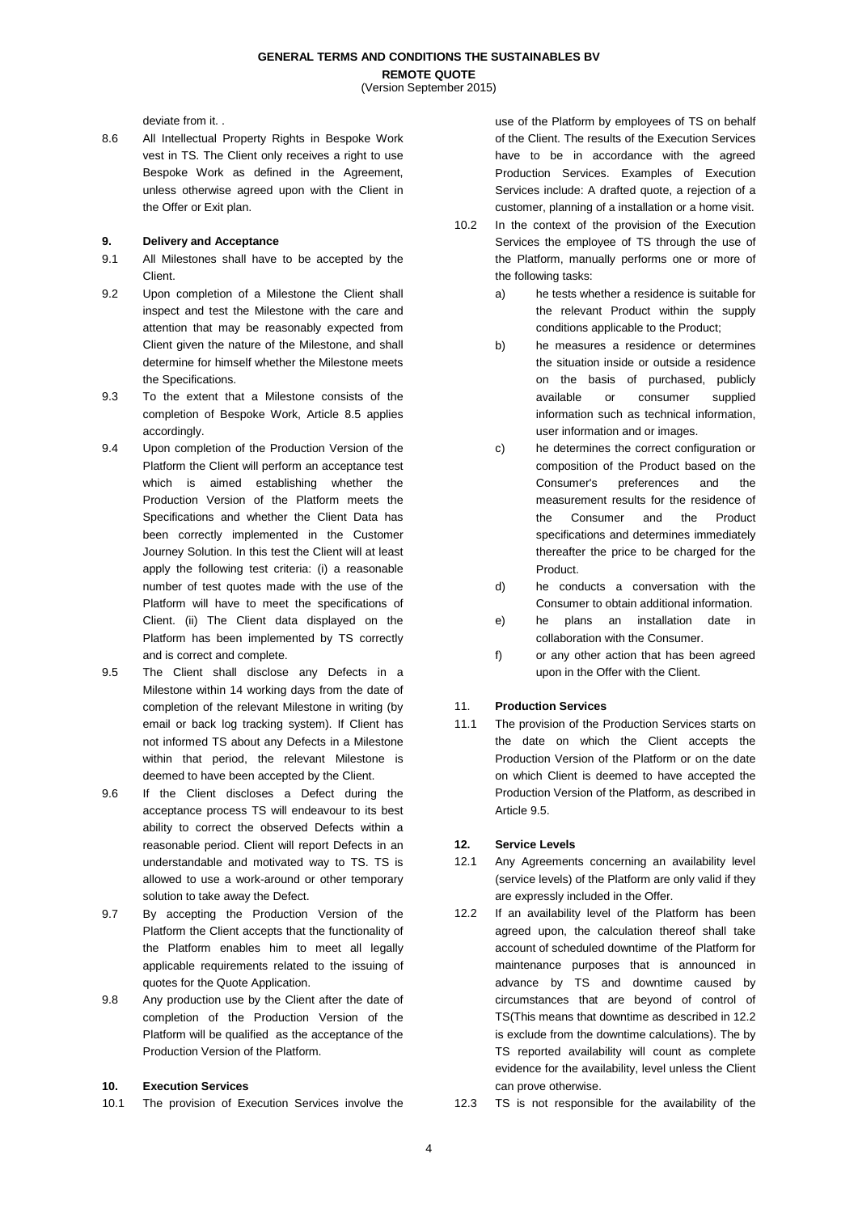deviate from it. .

8.6 All Intellectual Property Rights in Bespoke Work vest in TS. The Client only receives a right to use Bespoke Work as defined in the Agreement, unless otherwise agreed upon with the Client in the Offer or Exit plan.

#### **9. Delivery and Acceptance**

- 9.1 All Milestones shall have to be accepted by the Client.
- 9.2 Upon completion of a Milestone the Client shall inspect and test the Milestone with the care and attention that may be reasonably expected from Client given the nature of the Milestone, and shall determine for himself whether the Milestone meets the Specifications.
- 9.3 To the extent that a Milestone consists of the completion of Bespoke Work, Article 8.5 applies accordingly.
- 9.4 Upon completion of the Production Version of the Platform the Client will perform an acceptance test which is aimed establishing whether the Production Version of the Platform meets the Specifications and whether the Client Data has been correctly implemented in the Customer Journey Solution. In this test the Client will at least apply the following test criteria: (i) a reasonable number of test quotes made with the use of the Platform will have to meet the specifications of Client. (ii) The Client data displayed on the Platform has been implemented by TS correctly and is correct and complete.
- 9.5 The Client shall disclose any Defects in a Milestone within 14 working days from the date of completion of the relevant Milestone in writing (by email or back log tracking system). If Client has not informed TS about any Defects in a Milestone within that period, the relevant Milestone is deemed to have been accepted by the Client.
- 9.6 If the Client discloses a Defect during the acceptance process TS will endeavour to its best ability to correct the observed Defects within a reasonable period. Client will report Defects in an understandable and motivated way to TS. TS is allowed to use a work-around or other temporary solution to take away the Defect.
- 9.7 By accepting the Production Version of the Platform the Client accepts that the functionality of the Platform enables him to meet all legally applicable requirements related to the issuing of quotes for the Quote Application.
- 9.8 Any production use by the Client after the date of completion of the Production Version of the Platform will be qualified as the acceptance of the Production Version of the Platform.

#### **10. Execution Services**

10.1 The provision of Execution Services involve the

use of the Platform by employees of TS on behalf of the Client. The results of the Execution Services have to be in accordance with the agreed Production Services. Examples of Execution Services include: A drafted quote, a rejection of a customer, planning of a installation or a home visit.

- 10.2 In the context of the provision of the Execution Services the employee of TS through the use of the Platform, manually performs one or more of the following tasks:
	- a) he tests whether a residence is suitable for the relevant Product within the supply conditions applicable to the Product;
	- b) he measures a residence or determines the situation inside or outside a residence on the basis of purchased, publicly available or consumer supplied information such as technical information, user information and or images.
	- c) he determines the correct configuration or composition of the Product based on the Consumer's preferences and the measurement results for the residence of the Consumer and the Product specifications and determines immediately thereafter the price to be charged for the Product.
	- d) he conducts a conversation with the Consumer to obtain additional information.
	- e) he plans an installation date in collaboration with the Consumer.
	- f) or any other action that has been agreed upon in the Offer with the Client.

### 11. **Production Services**

11.1 The provision of the Production Services starts on the date on which the Client accepts the Production Version of the Platform or on the date on which Client is deemed to have accepted the Production Version of the Platform, as described in Article 9.5.

# **12. Service Levels**

- 12.1 Any Agreements concerning an availability level (service levels) of the Platform are only valid if they are expressly included in the Offer.
- 12.2 If an availability level of the Platform has been agreed upon, the calculation thereof shall take account of scheduled downtime of the Platform for maintenance purposes that is announced in advance by TS and downtime caused by circumstances that are beyond of control of TS(This means that downtime as described in 12.2 is exclude from the downtime calculations). The by TS reported availability will count as complete evidence for the availability, level unless the Client can prove otherwise.
- 12.3 TS is not responsible for the availability of the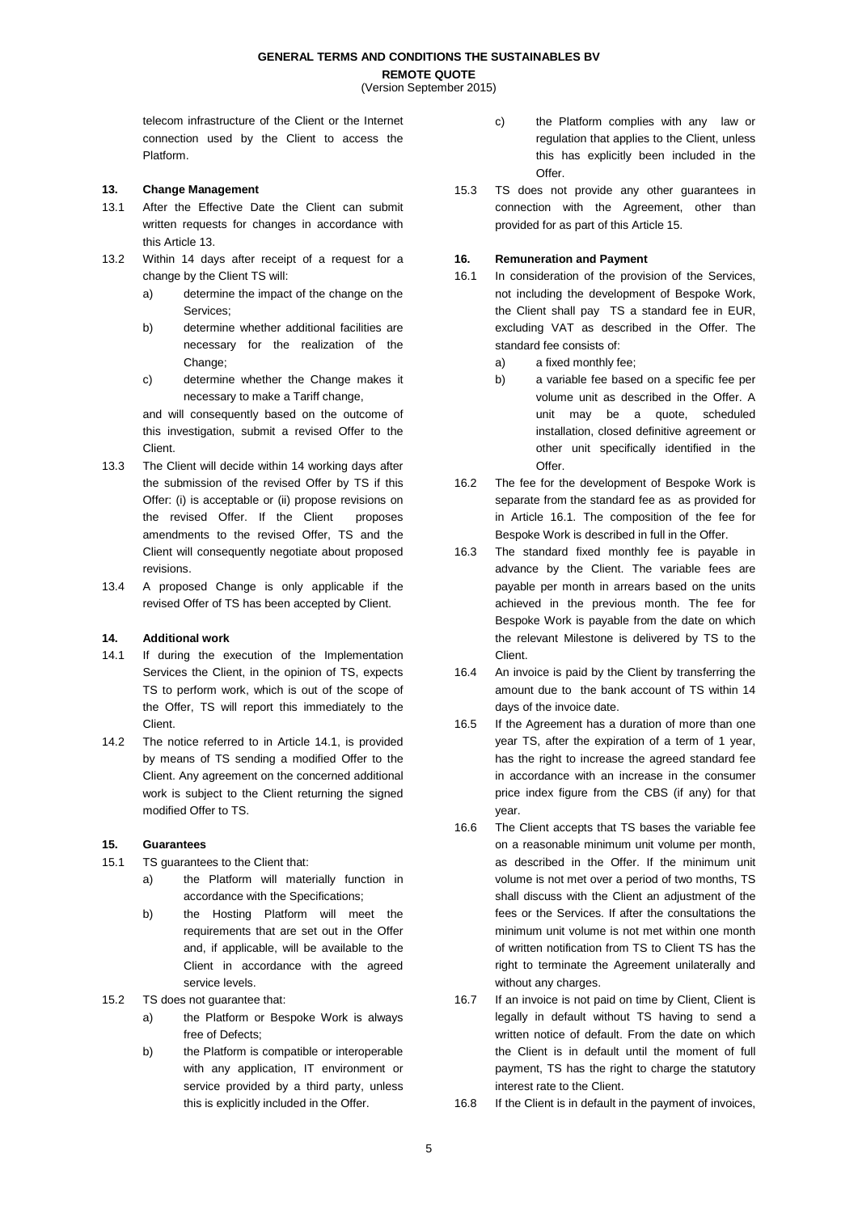telecom infrastructure of the Client or the Internet connection used by the Client to access the Platform.

#### **13. Change Management**

- 13.1 After the Effective Date the Client can submit written requests for changes in accordance with this Article 13.
- 13.2 Within 14 days after receipt of a request for a change by the Client TS will:
	- a) determine the impact of the change on the Services;
	- b) determine whether additional facilities are necessary for the realization of the Change;
	- c) determine whether the Change makes it necessary to make a Tariff change,

and will consequently based on the outcome of this investigation, submit a revised Offer to the Client.

- 13.3 The Client will decide within 14 working days after the submission of the revised Offer by TS if this Offer: (i) is acceptable or (ii) propose revisions on the revised Offer. If the Client proposes amendments to the revised Offer, TS and the Client will consequently negotiate about proposed revisions.
- 13.4 A proposed Change is only applicable if the revised Offer of TS has been accepted by Client.

#### **14. Additional work**

- 14.1 If during the execution of the Implementation Services the Client, in the opinion of TS, expects TS to perform work, which is out of the scope of the Offer, TS will report this immediately to the Client.
- 14.2 The notice referred to in Article 14.1, is provided by means of TS sending a modified Offer to the Client. Any agreement on the concerned additional work is subject to the Client returning the signed modified Offer to TS.

### **15. Guarantees**

- 15.1 TS guarantees to the Client that:
	- a) the Platform will materially function in accordance with the Specifications;
	- b) the Hosting Platform will meet the requirements that are set out in the Offer and, if applicable, will be available to the Client in accordance with the agreed service levels.
- 15.2 TS does not guarantee that:
	- a) the Platform or Bespoke Work is always free of Defects;
	- b) the Platform is compatible or interoperable with any application. IT environment or service provided by a third party, unless this is explicitly included in the Offer.
- c) the Platform complies with any law or regulation that applies to the Client, unless this has explicitly been included in the Offer.
- 15.3 TS does not provide any other guarantees in connection with the Agreement, other than provided for as part of this Article 15.

### **16. Remuneration and Payment**

- 16.1 In consideration of the provision of the Services, not including the development of Bespoke Work, the Client shall pay TS a standard fee in EUR, excluding VAT as described in the Offer. The standard fee consists of:
	- a) a fixed monthly fee;
	- b) a variable fee based on a specific fee per volume unit as described in the Offer. A unit may be a quote, scheduled installation, closed definitive agreement or other unit specifically identified in the Offer.
- 16.2 The fee for the development of Bespoke Work is separate from the standard fee as as provided for in Article 16.1. The composition of the fee for Bespoke Work is described in full in the Offer.
- 16.3 The standard fixed monthly fee is payable in advance by the Client. The variable fees are payable per month in arrears based on the units achieved in the previous month. The fee for Bespoke Work is payable from the date on which the relevant Milestone is delivered by TS to the Client.
- 16.4 An invoice is paid by the Client by transferring the amount due to the bank account of TS within 14 days of the invoice date.
- 16.5 If the Agreement has a duration of more than one year TS, after the expiration of a term of 1 year, has the right to increase the agreed standard fee in accordance with an increase in the consumer price index figure from the CBS (if any) for that year.
- 16.6 The Client accepts that TS bases the variable fee on a reasonable minimum unit volume per month, as described in the Offer. If the minimum unit volume is not met over a period of two months, TS shall discuss with the Client an adjustment of the fees or the Services. If after the consultations the minimum unit volume is not met within one month of written notification from TS to Client TS has the right to terminate the Agreement unilaterally and without any charges.
- 16.7 If an invoice is not paid on time by Client, Client is legally in default without TS having to send a written notice of default. From the date on which the Client is in default until the moment of full payment, TS has the right to charge the statutory interest rate to the Client.
- 16.8 If the Client is in default in the payment of invoices,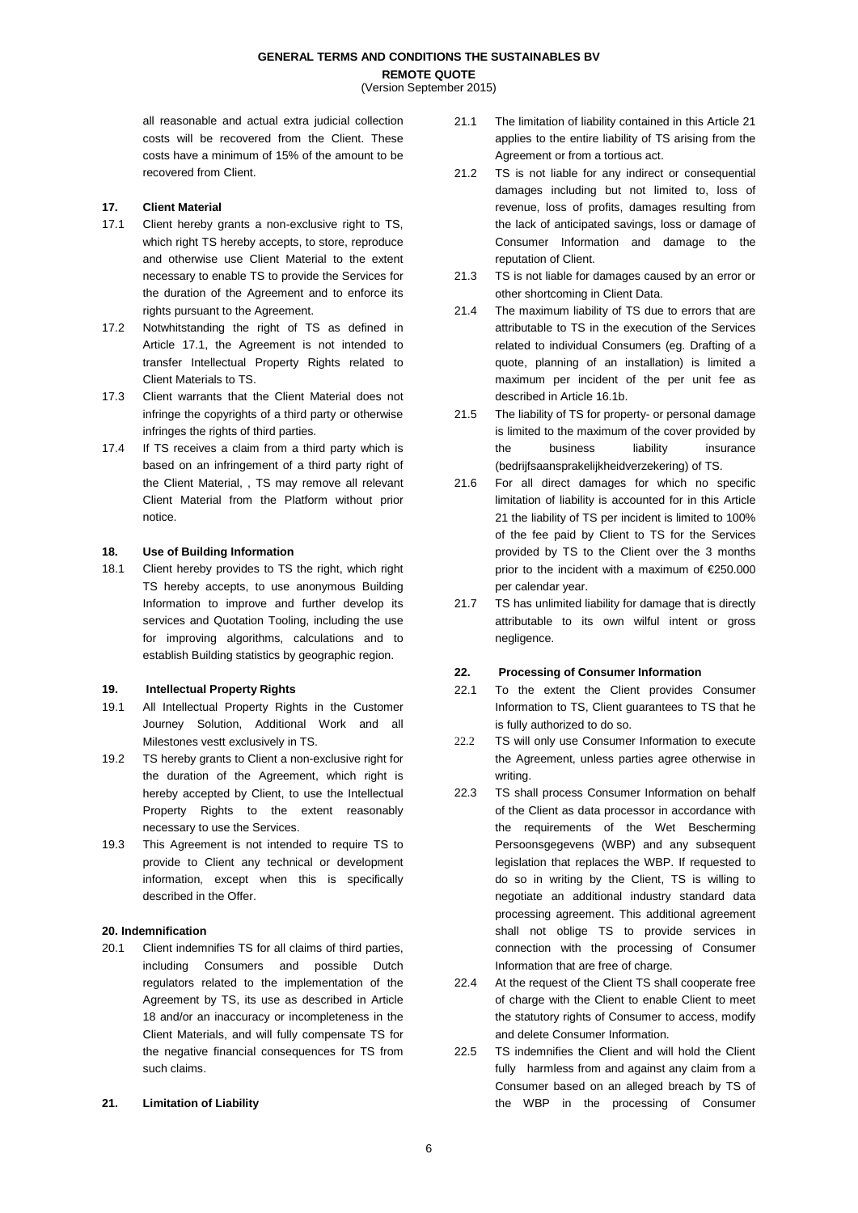all reasonable and actual extra judicial collection costs will be recovered from the Client. These costs have a minimum of 15% of the amount to be recovered from Client.

### **17. Client Material**

- 17.1 Client hereby grants a non-exclusive right to TS, which right TS hereby accepts, to store, reproduce and otherwise use Client Material to the extent necessary to enable TS to provide the Services for the duration of the Agreement and to enforce its rights pursuant to the Agreement.
- 17.2 Notwhitstanding the right of TS as defined in Article 17.1, the Agreement is not intended to transfer Intellectual Property Rights related to Client Materials to TS.
- 17.3 Client warrants that the Client Material does not infringe the copyrights of a third party or otherwise infringes the rights of third parties.
- 17.4 If TS receives a claim from a third party which is based on an infringement of a third party right of the Client Material, , TS may remove all relevant Client Material from the Platform without prior notice.

### **18. Use of Building Information**

18.1 Client hereby provides to TS the right, which right TS hereby accepts, to use anonymous Building Information to improve and further develop its services and Quotation Tooling, including the use for improving algorithms, calculations and to establish Building statistics by geographic region.

### **19. Intellectual Property Rights**

- 19.1 All Intellectual Property Rights in the Customer Journey Solution, Additional Work and all Milestones vestt exclusively in TS.
- 19.2 TS hereby grants to Client a non-exclusive right for the duration of the Agreement, which right is hereby accepted by Client, to use the Intellectual Property Rights to the extent reasonably necessary to use the Services.
- 19.3 This Agreement is not intended to require TS to provide to Client any technical or development information, except when this is specifically described in the Offer.

### **20. Indemnification**

20.1 Client indemnifies TS for all claims of third parties, including Consumers and possible Dutch regulators related to the implementation of the Agreement by TS, its use as described in Article 18 and/or an inaccuracy or incompleteness in the Client Materials, and will fully compensate TS for the negative financial consequences for TS from such claims.

### **21. Limitation of Liability**

- 21.1 The limitation of liability contained in this Article 21 applies to the entire liability of TS arising from the Agreement or from a tortious act.
- 21.2 TS is not liable for any indirect or consequential damages including but not limited to, loss of revenue, loss of profits, damages resulting from the lack of anticipated savings, loss or damage of Consumer Information and damage to the reputation of Client.
- 21.3 TS is not liable for damages caused by an error or other shortcoming in Client Data.
- 21.4 The maximum liability of TS due to errors that are attributable to TS in the execution of the Services related to individual Consumers (eg. Drafting of a quote, planning of an installation) is limited a maximum per incident of the per unit fee as described in Article 16.1b.
- 21.5 The liability of TS for property- or personal damage is limited to the maximum of the cover provided by the business liability insurance (bedrijfsaansprakelijkheidverzekering) of TS.
- 21.6 For all direct damages for which no specific limitation of liability is accounted for in this Article 21 the liability of TS per incident is limited to 100% of the fee paid by Client to TS for the Services provided by TS to the Client over the 3 months prior to the incident with a maximum of €250.000 per calendar year.
- 21.7 TS has unlimited liability for damage that is directly attributable to its own wilful intent or gross negligence.

# **22. Processing of Consumer Information**

- 22.1 To the extent the Client provides Consumer Information to TS, Client guarantees to TS that he is fully authorized to do so.
- 22.2 TS will only use Consumer Information to execute the Agreement, unless parties agree otherwise in writing.
- 22.3 TS shall process Consumer Information on behalf of the Client as data processor in accordance with the requirements of the Wet Bescherming Persoonsgegevens (WBP) and any subsequent legislation that replaces the WBP. If requested to do so in writing by the Client, TS is willing to negotiate an additional industry standard data processing agreement. This additional agreement shall not oblige TS to provide services in connection with the processing of Consumer Information that are free of charge.
- 22.4 At the request of the Client TS shall cooperate free of charge with the Client to enable Client to meet the statutory rights of Consumer to access, modify and delete Consumer Information.
- 22.5 TS indemnifies the Client and will hold the Client fully harmless from and against any claim from a Consumer based on an alleged breach by TS of the WBP in the processing of Consumer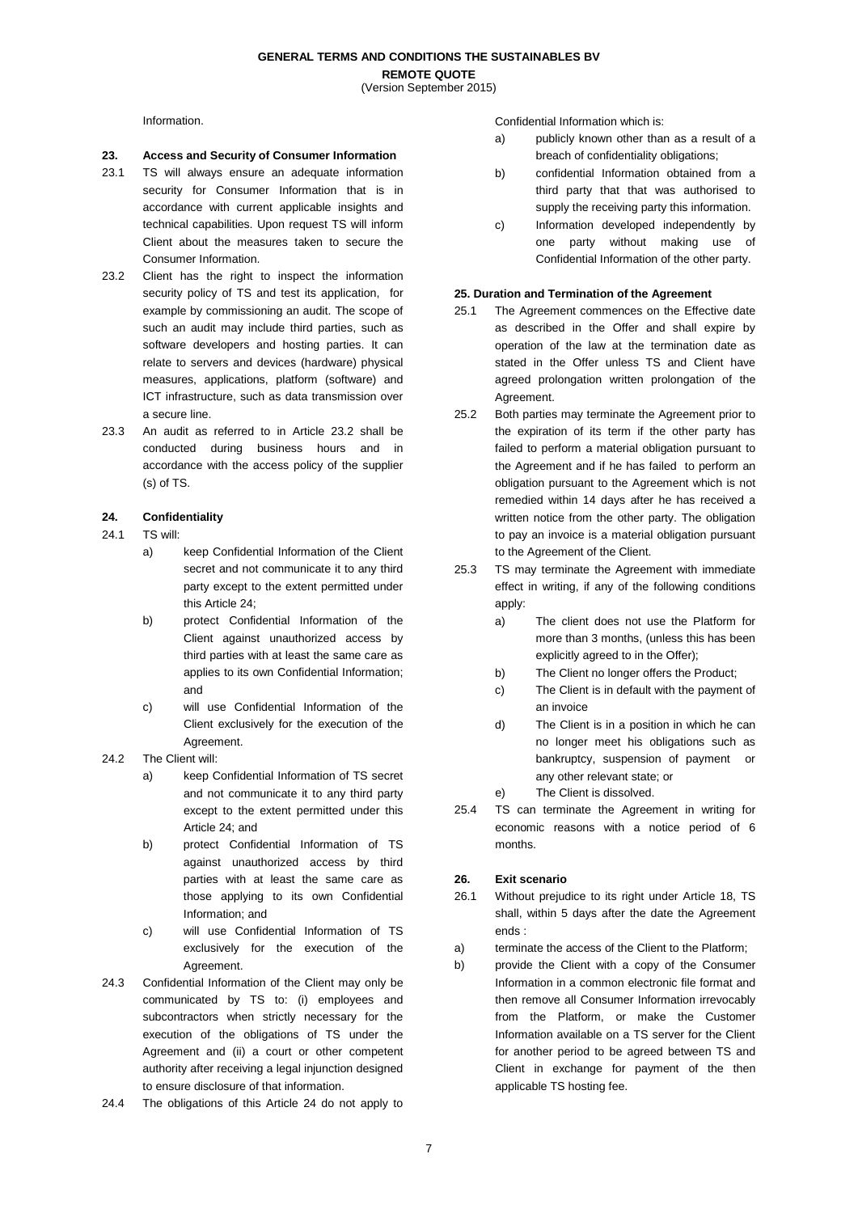Information.

# **23. Access and Security of Consumer Information**

- 23.1 TS will always ensure an adequate information security for Consumer Information that is in accordance with current applicable insights and technical capabilities. Upon request TS will inform Client about the measures taken to secure the Consumer Information.
- 23.2 Client has the right to inspect the information security policy of TS and test its application, for example by commissioning an audit. The scope of such an audit may include third parties, such as software developers and hosting parties. It can relate to servers and devices (hardware) physical measures, applications, platform (software) and ICT infrastructure, such as data transmission over a secure line.
- 23.3 An audit as referred to in Article 23.2 shall be conducted during business hours and in accordance with the access policy of the supplier (s) of TS.

### **24. Confidentiality**

### 24.1 TS will:

- a) keep Confidential Information of the Client secret and not communicate it to any third party except to the extent permitted under this Article 24;
- b) protect Confidential Information of the Client against unauthorized access by third parties with at least the same care as applies to its own Confidential Information; and
- c) will use Confidential Information of the Client exclusively for the execution of the Agreement.
- 24.2 The Client will:
	- a) keep Confidential Information of TS secret and not communicate it to any third party except to the extent permitted under this Article 24; and
	- b) protect Confidential Information of TS against unauthorized access by third parties with at least the same care as those applying to its own Confidential Information; and
	- c) will use Confidential Information of TS exclusively for the execution of the Agreement.
- 24.3 Confidential Information of the Client may only be communicated by TS to: (i) employees and subcontractors when strictly necessary for the execution of the obligations of TS under the Agreement and (ii) a court or other competent authority after receiving a legal injunction designed to ensure disclosure of that information.
- 24.4 The obligations of this Article 24 do not apply to

Confidential Information which is:

- a) publicly known other than as a result of a breach of confidentiality obligations;
- b) confidential Information obtained from a third party that that was authorised to supply the receiving party this information.
- c) Information developed independently by one party without making use of Confidential Information of the other party.

#### **25. Duration and Termination of the Agreement**

- 25.1 The Agreement commences on the Effective date as described in the Offer and shall expire by operation of the law at the termination date as stated in the Offer unless TS and Client have agreed prolongation written prolongation of the Agreement.
- 25.2 Both parties may terminate the Agreement prior to the expiration of its term if the other party has failed to perform a material obligation pursuant to the Agreement and if he has failed to perform an obligation pursuant to the Agreement which is not remedied within 14 days after he has received a written notice from the other party. The obligation to pay an invoice is a material obligation pursuant to the Agreement of the Client.
- 25.3 TS may terminate the Agreement with immediate effect in writing, if any of the following conditions apply:
	- a) The client does not use the Platform for more than 3 months, (unless this has been explicitly agreed to in the Offer);
	- b) The Client no longer offers the Product;
	- c) The Client is in default with the payment of an invoice
	- d) The Client is in a position in which he can no longer meet his obligations such as bankruptcy, suspension of payment or any other relevant state; or
	- e) The Client is dissolved.
- 25.4 TS can terminate the Agreement in writing for economic reasons with a notice period of 6 months.

# **26. Exit scenario**

- 26.1 Without prejudice to its right under Article 18, TS shall, within 5 days after the date the Agreement ends :
- a) terminate the access of the Client to the Platform;
- b) provide the Client with a copy of the Consumer Information in a common electronic file format and then remove all Consumer Information irrevocably from the Platform, or make the Customer Information available on a TS server for the Client for another period to be agreed between TS and Client in exchange for payment of the then applicable TS hosting fee.